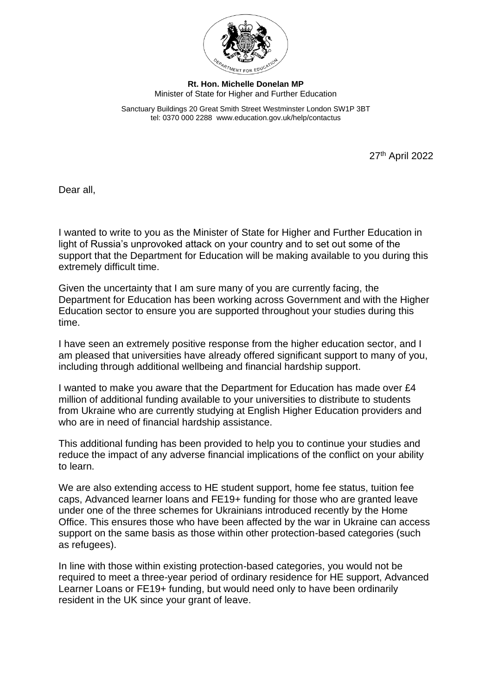

## **Rt. Hon. Michelle Donelan MP** Minister of State for Higher and Further Education

Sanctuary Buildings 20 Great Smith Street Westminster London SW1P 3BT tel: 0370 000 2288 www.education.gov.uk/help/contactus

27<sup>th</sup> April 2022

Dear all,

I wanted to write to you as the Minister of State for Higher and Further Education in light of Russia's unprovoked attack on your country and to set out some of the support that the Department for Education will be making available to you during this extremely difficult time.

Given the uncertainty that I am sure many of you are currently facing, the Department for Education has been working across Government and with the Higher Education sector to ensure you are supported throughout your studies during this time.

I have seen an extremely positive response from the higher education sector, and I am pleased that universities have already offered significant support to many of you, including through additional wellbeing and financial hardship support.

I wanted to make you aware that the Department for Education has made over £4 million of additional funding available to your universities to distribute to students from Ukraine who are currently studying at English Higher Education providers and who are in need of financial hardship assistance.

This additional funding has been provided to help you to continue your studies and reduce the impact of any adverse financial implications of the conflict on your ability to learn.

We are also extending access to HE student support, home fee status, tuition fee caps, Advanced learner loans and FE19+ funding for those who are granted leave under one of the three schemes for Ukrainians introduced recently by the Home Office. This ensures those who have been affected by the war in Ukraine can access support on the same basis as those within other protection-based categories (such as refugees).

In line with those within existing protection-based categories, you would not be required to meet a three-year period of ordinary residence for HE support, Advanced Learner Loans or FE19+ funding, but would need only to have been ordinarily resident in the UK since your grant of leave.